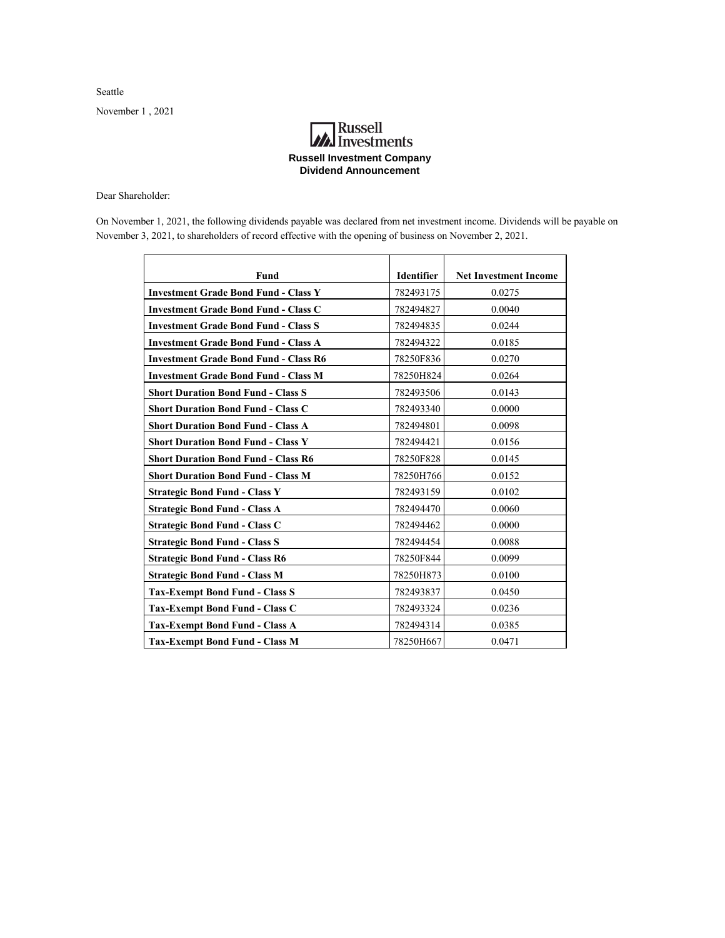Seattle

November 1 , 2021

## **A**<br>Investments **Russell Investment Company Dividend Announcement**

Dear Shareholder:

On November 1, 2021, the following dividends payable was declared from net investment income. Dividends will be payable on November 3, 2021, to shareholders of record effective with the opening of business on November 2, 2021.

| Fund                                         | <b>Identifier</b> | <b>Net Investment Income</b> |
|----------------------------------------------|-------------------|------------------------------|
| <b>Investment Grade Bond Fund - Class Y</b>  | 782493175         | 0.0275                       |
| <b>Investment Grade Bond Fund - Class C</b>  | 782494827         | 0.0040                       |
| <b>Investment Grade Bond Fund - Class S</b>  | 782494835         | 0.0244                       |
| <b>Investment Grade Bond Fund - Class A</b>  | 782494322         | 0.0185                       |
| <b>Investment Grade Bond Fund - Class R6</b> | 78250F836         | 0.0270                       |
| <b>Investment Grade Bond Fund - Class M</b>  | 78250H824         | 0.0264                       |
| <b>Short Duration Bond Fund - Class S</b>    | 782493506         | 0.0143                       |
| <b>Short Duration Bond Fund - Class C</b>    | 782493340         | 0.0000                       |
| <b>Short Duration Bond Fund - Class A</b>    | 782494801         | 0.0098                       |
| <b>Short Duration Bond Fund - Class Y</b>    | 782494421         | 0.0156                       |
| <b>Short Duration Bond Fund - Class R6</b>   | 78250F828         | 0.0145                       |
| <b>Short Duration Bond Fund - Class M</b>    | 78250H766         | 0.0152                       |
| <b>Strategic Bond Fund - Class Y</b>         | 782493159         | 0.0102                       |
| <b>Strategic Bond Fund - Class A</b>         | 782494470         | 0.0060                       |
| <b>Strategic Bond Fund - Class C</b>         | 782494462         | 0.0000                       |
| <b>Strategic Bond Fund - Class S</b>         | 782494454         | 0.0088                       |
| <b>Strategic Bond Fund - Class R6</b>        | 78250F844         | 0.0099                       |
| <b>Strategic Bond Fund - Class M</b>         | 78250H873         | 0.0100                       |
| <b>Tax-Exempt Bond Fund - Class S</b>        | 782493837         | 0.0450                       |
| <b>Tax-Exempt Bond Fund - Class C</b>        | 782493324         | 0.0236                       |
| <b>Tax-Exempt Bond Fund - Class A</b>        | 782494314         | 0.0385                       |
| <b>Tax-Exempt Bond Fund - Class M</b>        | 78250H667         | 0.0471                       |